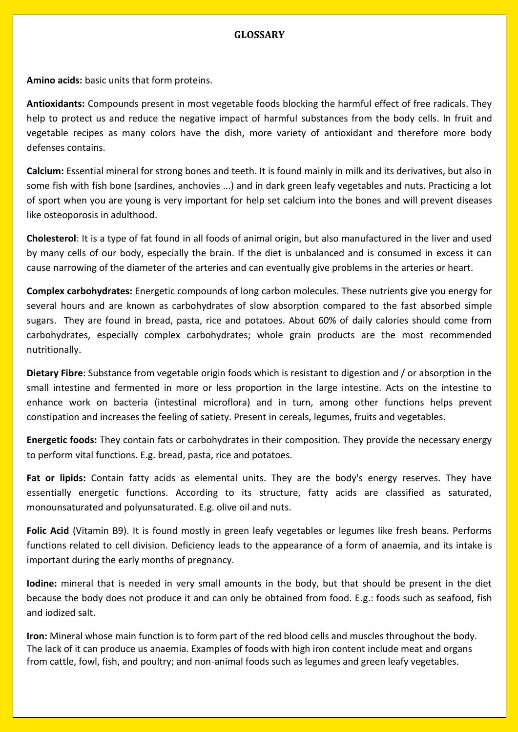## **GLOSSARY**

**Amino acids:** basic units that form proteins.

**Antioxidants:** Compounds present in most vegetable foods blocking the harmful effect of free radicals. They help to protect us and reduce the negative impact of harmful substances from the body cells. In fruit and vegetable recipes as many colors have the dish, more variety of antioxidant and therefore more body defenses contains.

**Calcium:** Essential mineral for strong bones and teeth. It is found mainly in milk and its derivatives, but also in some fish with fish bone (sardines, anchovies ...) and in dark green leafy vegetables and nuts. Practicing a lot of sport when you are young is very important for help set calcium into the bones and will prevent diseases like osteoporosis in adulthood.

**Cholesterol**: It is a type of fat found in all foods of animal origin, but also manufactured in the liver and used by many cells of our body, especially the brain. If the diet is unbalanced and is consumed in excess it can cause narrowing of the diameter of the arteries and can eventually give problems in the arteries or heart.

**Complex carbohydrates:** Energetic compounds of long carbon molecules. These nutrients give you energy for several hours and are known as carbohydrates of slow absorption compared to the fast absorbed simple sugars. They are found in bread, pasta, rice and potatoes. About 60% of daily calories should come from carbohydrates, especially complex carbohydrates; whole grain products are the most recommended nutritionally.

**Dietary Fibre**: Substance from vegetable origin foods which is resistant to digestion and / or absorption in the small intestine and fermented in more or less proportion in the large intestine. Acts on the intestine to enhance work on bacteria (intestinal microflora) and in turn, among other functions helps prevent constipation and increases the feeling of satiety. Present in cereals, legumes, fruits and vegetables.

**Energetic foods:** They contain fats or carbohydrates in their composition. They provide the necessary energy to perform vital functions. E.g. bread, pasta, rice and potatoes.

**Fat or lipids:** Contain fatty acids as elemental units. They are the body's energy reserves. They have essentially energetic functions. According to its structure, fatty acids are classified as saturated, monounsaturated and polyunsaturated. E.g. olive oil and nuts.

Folic Acid (Vitamin B9). It is found mostly in green leafy vegetables or legumes like fresh beans. Performs functions related to cell division. Deficiency leads to the appearance of a form of anaemia, and its intake is important during the early months of pregnancy.

**Iodine:** mineral that is needed in very small amounts in the body, but that should be present in the diet because the body does not produce it and can only be obtained from food. E.g.: foods such as seafood, fish and iodized salt.

**Iron:** Mineral whose main function is to form part of the red blood cells and muscles throughout the body. The lack of it can produce us anaemia. Examples of foods with high iron content include meat and organs from cattle, fowl, fish, and poultry; and non-animal foods such as legumes and green leafy vegetables.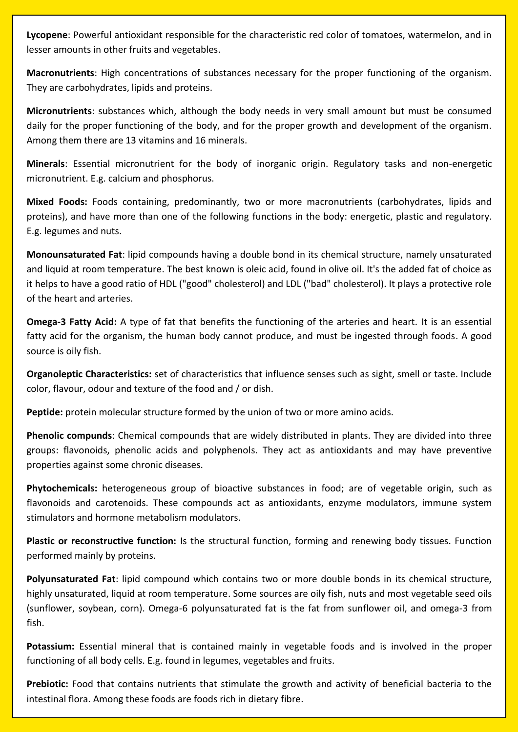**Lycopene**: Powerful antioxidant responsible for the characteristic red color of tomatoes, watermelon, and in lesser amounts in other fruits and vegetables.

**Macronutrients**: High concentrations of substances necessary for the proper functioning of the organism. They are carbohydrates, lipids and proteins.

**Micronutrients**: substances which, although the body needs in very small amount but must be consumed daily for the proper functioning of the body, and for the proper growth and development of the organism. Among them there are 13 vitamins and 16 minerals.

**Minerals**: Essential micronutrient for the body of inorganic origin. Regulatory tasks and non-energetic micronutrient. E.g. calcium and phosphorus.

**Mixed Foods:** Foods containing, predominantly, two or more macronutrients (carbohydrates, lipids and proteins), and have more than one of the following functions in the body: energetic, plastic and regulatory. E.g. legumes and nuts.

**Monounsaturated Fat**: lipid compounds having a double bond in its chemical structure, namely unsaturated and liquid at room temperature. The best known is oleic acid, found in olive oil. It's the added fat of choice as it helps to have a good ratio of HDL ("good" cholesterol) and LDL ("bad" cholesterol). It plays a protective role of the heart and arteries.

**Omega-3 Fatty Acid:** A type of fat that benefits the functioning of the arteries and heart. It is an essential fatty acid for the organism, the human body cannot produce, and must be ingested through foods. A good source is oily fish.

**Organoleptic Characteristics:** set of characteristics that influence senses such as sight, smell or taste. Include color, flavour, odour and texture of the food and / or dish.

**Peptide:** protein molecular structure formed by the union of two or more amino acids.

**Phenolic compunds**: Chemical compounds that are widely distributed in plants. They are divided into three groups: flavonoids, phenolic acids and polyphenols. They act as antioxidants and may have preventive properties against some chronic diseases.

**Phytochemicals:** heterogeneous group of bioactive substances in food; are of vegetable origin, such as flavonoids and carotenoids. These compounds act as antioxidants, enzyme modulators, immune system stimulators and hormone metabolism modulators.

**Plastic or reconstructive function:** Is the structural function, forming and renewing body tissues. Function performed mainly by proteins.

**Polyunsaturated Fat**: lipid compound which contains two or more double bonds in its chemical structure, highly unsaturated, liquid at room temperature. Some sources are oily fish, nuts and most vegetable seed oils (sunflower, soybean, corn). Omega-6 polyunsaturated fat is the fat from sunflower oil, and omega-3 from fish.

**Potassium:** Essential mineral that is contained mainly in vegetable foods and is involved in the proper functioning of all body cells. E.g. found in legumes, vegetables and fruits.

**Prebiotic:** Food that contains nutrients that stimulate the growth and activity of beneficial bacteria to the intestinal flora. Among these foods are foods rich in dietary fibre.